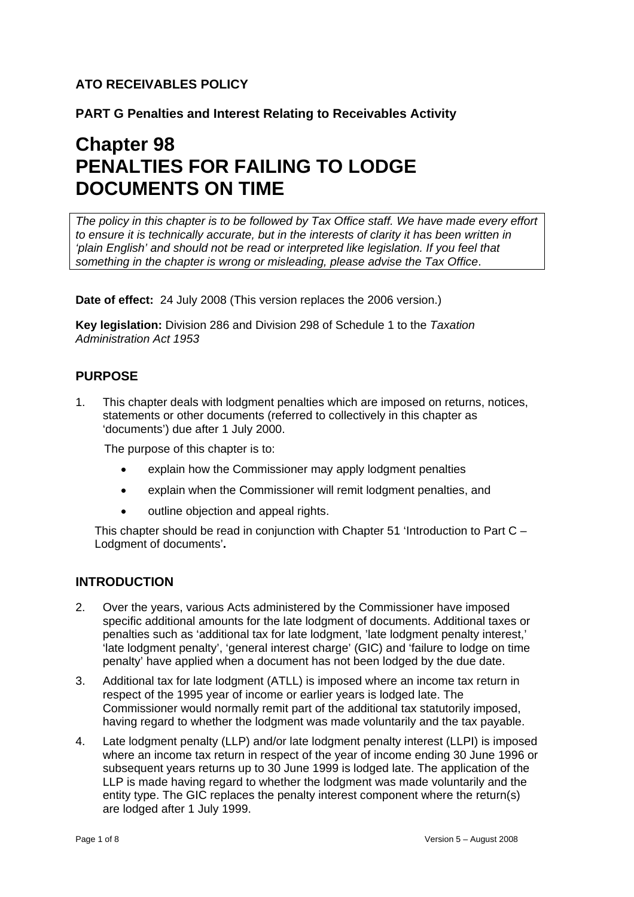# **ATO RECEIVABLES POLICY**

**PART G Penalties and Interest Relating to Receivables Activity** 

# **Chapter 98 PENALTIES FOR FAILING TO LODGE DOCUMENTS ON TIME**

*The policy in this chapter is to be followed by Tax Office staff. We have made every effort to ensure it is technically accurate, but in the interests of clarity it has been written in 'plain English' and should not be read or interpreted like legislation. If you feel that something in the chapter is wrong or misleading, please advise the Tax Office*.

**Date of effect:** 24 July 2008 (This version replaces the 2006 version.)

**Key legislation:** Division 286 and Division 298 of Schedule 1 to the *Taxation Administration Act 1953* 

# **PURPOSE**

1. This chapter deals with lodgment penalties which are imposed on returns, notices, statements or other documents (referred to collectively in this chapter as 'documents') due after 1 July 2000.

The purpose of this chapter is to:

- explain how the Commissioner may apply lodgment penalties
- explain when the Commissioner will remit lodgment penalties, and
- outline objection and appeal rights.

This chapter should be read in conjunction with Chapter 51 'Introduction to Part  $C -$ Lodgment of documents'**.** 

# **INTRODUCTION**

- 2. Over the years, various Acts administered by the Commissioner have imposed specific additional amounts for the late lodgment of documents. Additional taxes or penalties such as 'additional tax for late lodgment, 'late lodgment penalty interest,' 'late lodgment penalty', 'general interest charge' (GIC) and 'failure to lodge on time penalty' have applied when a document has not been lodged by the due date.
- 3. Additional tax for late lodgment (ATLL) is imposed where an income tax return in respect of the 1995 year of income or earlier years is lodged late. The Commissioner would normally remit part of the additional tax statutorily imposed, having regard to whether the lodgment was made voluntarily and the tax payable.
- 4. Late lodgment penalty (LLP) and/or late lodgment penalty interest (LLPI) is imposed where an income tax return in respect of the year of income ending 30 June 1996 or subsequent years returns up to 30 June 1999 is lodged late. The application of the LLP is made having regard to whether the lodgment was made voluntarily and the entity type. The GIC replaces the penalty interest component where the return(s) are lodged after 1 July 1999.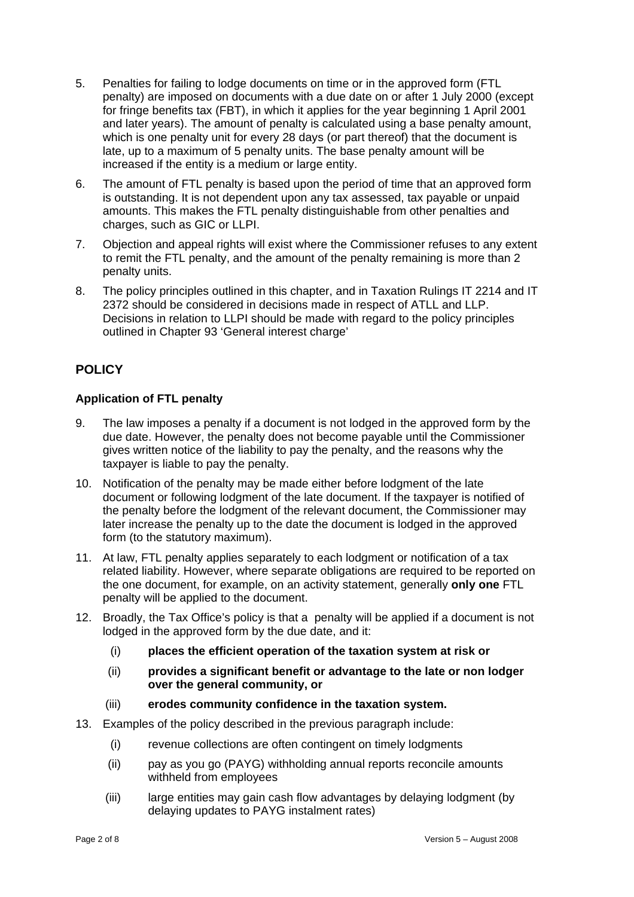- 5. Penalties for failing to lodge documents on time or in the approved form (FTL penalty) are imposed on documents with a due date on or after 1 July 2000 (except for fringe benefits tax (FBT), in which it applies for the year beginning 1 April 2001 and later years). The amount of penalty is calculated using a base penalty amount, which is one penalty unit for every 28 days (or part thereof) that the document is late, up to a maximum of 5 penalty units. The base penalty amount will be increased if the entity is a medium or large entity.
- 6. The amount of FTL penalty is based upon the period of time that an approved form is outstanding. It is not dependent upon any tax assessed, tax payable or unpaid amounts. This makes the FTL penalty distinguishable from other penalties and charges, such as GIC or LLPI.
- 7. Objection and appeal rights will exist where the Commissioner refuses to any extent to remit the FTL penalty, and the amount of the penalty remaining is more than 2 penalty units.
- 8. The policy principles outlined in this chapter, and in Taxation Rulings IT 2214 and IT 2372 should be considered in decisions made in respect of ATLL and LLP. Decisions in relation to LLPI should be made with regard to the policy principles outlined in Chapter 93 'General interest charge'

# **POLICY**

## **Application of FTL penalty**

- 9. The law imposes a penalty if a document is not lodged in the approved form by the due date. However, the penalty does not become payable until the Commissioner gives written notice of the liability to pay the penalty, and the reasons why the taxpayer is liable to pay the penalty.
- 10. Notification of the penalty may be made either before lodgment of the late document or following lodgment of the late document. If the taxpayer is notified of the penalty before the lodgment of the relevant document, the Commissioner may later increase the penalty up to the date the document is lodged in the approved form (to the statutory maximum).
- 11. At law, FTL penalty applies separately to each lodgment or notification of a tax related liability. However, where separate obligations are required to be reported on the one document, for example, on an activity statement, generally **only one** FTL penalty will be applied to the document.
- 12. Broadly, the Tax Office's policy is that a penalty will be applied if a document is not lodged in the approved form by the due date, and it:
	- (i) **places the efficient operation of the taxation system at risk or**
	- (ii) **provides a significant benefit or advantage to the late or non lodger over the general community, or**
	- (iii) **erodes community confidence in the taxation system.**
- 13. Examples of the policy described in the previous paragraph include:
	- (i) revenue collections are often contingent on timely lodgments
	- (ii) pay as you go (PAYG) withholding annual reports reconcile amounts withheld from employees
	- (iii) large entities may gain cash flow advantages by delaying lodgment (by delaying updates to PAYG instalment rates)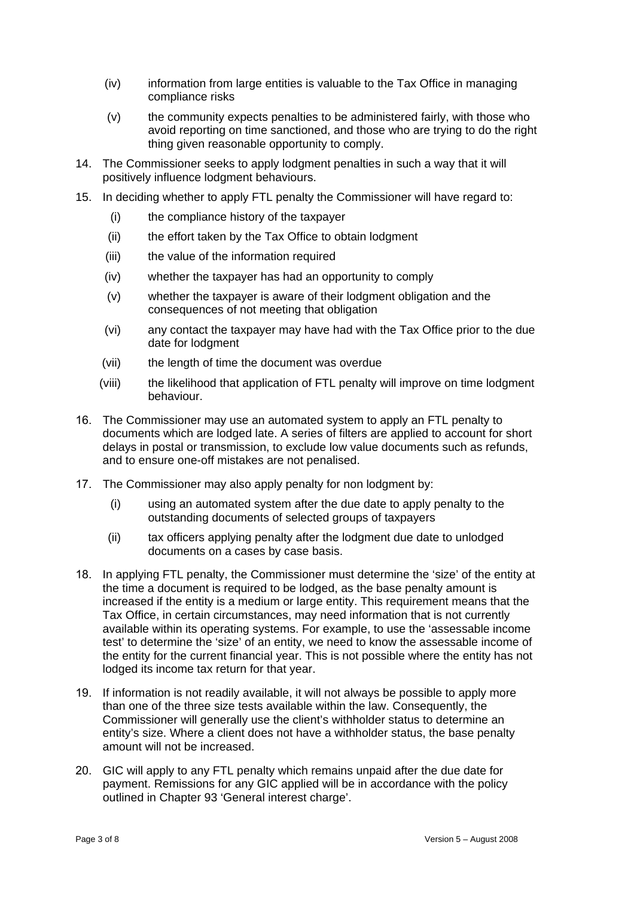- (iv) information from large entities is valuable to the Tax Office in managing compliance risks
- (v) the community expects penalties to be administered fairly, with those who avoid reporting on time sanctioned, and those who are trying to do the right thing given reasonable opportunity to comply.
- 14. The Commissioner seeks to apply lodgment penalties in such a way that it will positively influence lodgment behaviours.
- 15. In deciding whether to apply FTL penalty the Commissioner will have regard to:
	- (i) the compliance history of the taxpayer
	- (ii) the effort taken by the Tax Office to obtain lodgment
	- (iii) the value of the information required
	- (iv) whether the taxpayer has had an opportunity to comply
	- (v) whether the taxpayer is aware of their lodgment obligation and the consequences of not meeting that obligation
	- (vi) any contact the taxpayer may have had with the Tax Office prior to the due date for lodgment
	- (vii) the length of time the document was overdue
	- (viii) the likelihood that application of FTL penalty will improve on time lodgment behaviour.
- 16. The Commissioner may use an automated system to apply an FTL penalty to documents which are lodged late. A series of filters are applied to account for short delays in postal or transmission, to exclude low value documents such as refunds, and to ensure one-off mistakes are not penalised.
- 17. The Commissioner may also apply penalty for non lodgment by:
	- (i) using an automated system after the due date to apply penalty to the outstanding documents of selected groups of taxpayers
	- (ii) tax officers applying penalty after the lodgment due date to unlodged documents on a cases by case basis.
- 18. In applying FTL penalty, the Commissioner must determine the 'size' of the entity at the time a document is required to be lodged, as the base penalty amount is increased if the entity is a medium or large entity. This requirement means that the Tax Office, in certain circumstances, may need information that is not currently available within its operating systems. For example, to use the 'assessable income test' to determine the 'size' of an entity, we need to know the assessable income of the entity for the current financial year. This is not possible where the entity has not lodged its income tax return for that year.
- 19. If information is not readily available, it will not always be possible to apply more than one of the three size tests available within the law. Consequently, the Commissioner will generally use the client's withholder status to determine an entity's size. Where a client does not have a withholder status, the base penalty amount will not be increased.
- 20. GIC will apply to any FTL penalty which remains unpaid after the due date for payment. Remissions for any GIC applied will be in accordance with the policy outlined in Chapter 93 'General interest charge'.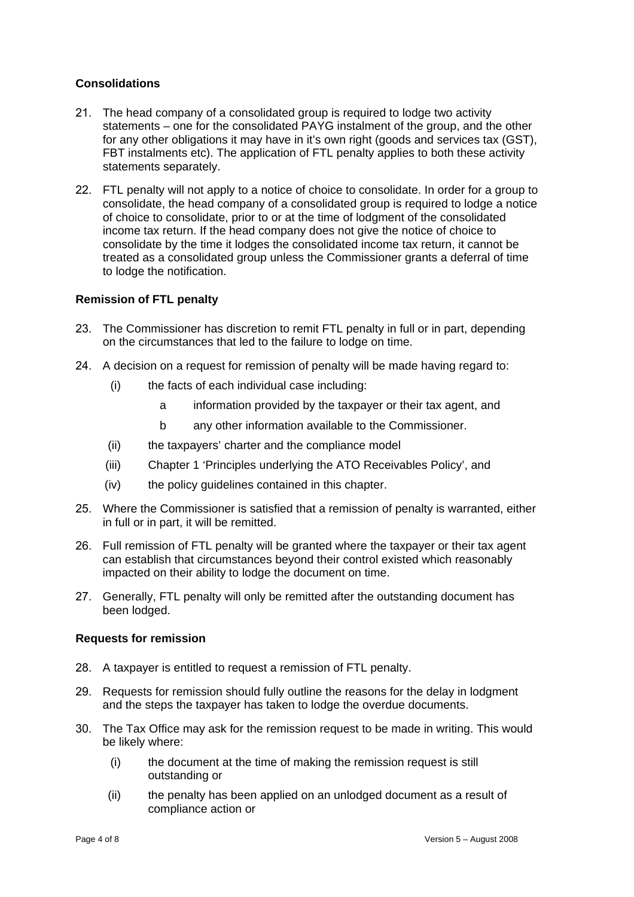## **Consolidations**

- 21. The head company of a consolidated group is required to lodge two activity statements – one for the consolidated PAYG instalment of the group, and the other for any other obligations it may have in it's own right (goods and services tax (GST), FBT instalments etc). The application of FTL penalty applies to both these activity statements separately.
- 22. FTL penalty will not apply to a notice of choice to consolidate. In order for a group to consolidate, the head company of a consolidated group is required to lodge a notice of choice to consolidate, prior to or at the time of lodgment of the consolidated income tax return. If the head company does not give the notice of choice to consolidate by the time it lodges the consolidated income tax return, it cannot be treated as a consolidated group unless the Commissioner grants a deferral of time to lodge the notification.

## **Remission of FTL penalty**

- 23. The Commissioner has discretion to remit FTL penalty in full or in part, depending on the circumstances that led to the failure to lodge on time.
- 24. A decision on a request for remission of penalty will be made having regard to:
	- (i) the facts of each individual case including:
		- a information provided by the taxpayer or their tax agent, and
		- b any other information available to the Commissioner.
	- (ii) the taxpayers' charter and the compliance model
	- (iii) Chapter 1 'Principles underlying the ATO Receivables Policy', and
	- (iv) the policy guidelines contained in this chapter.
- 25. Where the Commissioner is satisfied that a remission of penalty is warranted, either in full or in part, it will be remitted.
- 26. Full remission of FTL penalty will be granted where the taxpayer or their tax agent can establish that circumstances beyond their control existed which reasonably impacted on their ability to lodge the document on time.
- 27. Generally, FTL penalty will only be remitted after the outstanding document has been lodged.

#### **Requests for remission**

- 28. A taxpayer is entitled to request a remission of FTL penalty.
- 29. Requests for remission should fully outline the reasons for the delay in lodgment and the steps the taxpayer has taken to lodge the overdue documents.
- 30. The Tax Office may ask for the remission request to be made in writing. This would be likely where:
	- (i) the document at the time of making the remission request is still outstanding or
	- (ii) the penalty has been applied on an unlodged document as a result of compliance action or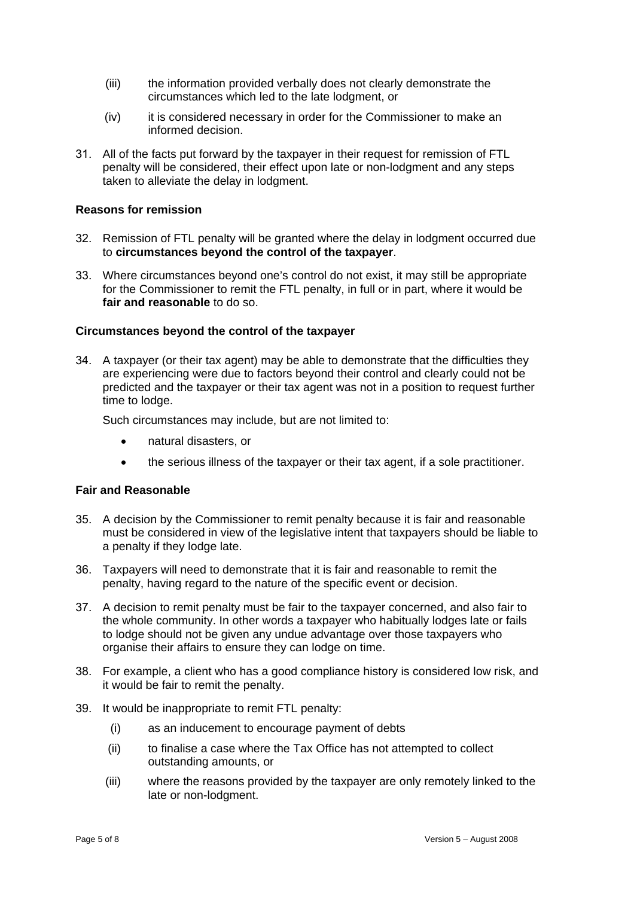- (iii) the information provided verbally does not clearly demonstrate the circumstances which led to the late lodgment, or
- (iv) it is considered necessary in order for the Commissioner to make an informed decision.
- 31. All of the facts put forward by the taxpayer in their request for remission of FTL penalty will be considered, their effect upon late or non-lodgment and any steps taken to alleviate the delay in lodgment.

## **Reasons for remission**

- 32. Remission of FTL penalty will be granted where the delay in lodgment occurred due to **circumstances beyond the control of the taxpayer**.
- 33. Where circumstances beyond one's control do not exist, it may still be appropriate for the Commissioner to remit the FTL penalty, in full or in part, where it would be **fair and reasonable** to do so.

### **Circumstances beyond the control of the taxpayer**

34. A taxpayer (or their tax agent) may be able to demonstrate that the difficulties they are experiencing were due to factors beyond their control and clearly could not be predicted and the taxpayer or their tax agent was not in a position to request further time to lodge.

Such circumstances may include, but are not limited to:

- natural disasters, or
- the serious illness of the taxpayer or their tax agent, if a sole practitioner.

#### **Fair and Reasonable**

- 35. A decision by the Commissioner to remit penalty because it is fair and reasonable must be considered in view of the legislative intent that taxpayers should be liable to a penalty if they lodge late.
- 36. Taxpayers will need to demonstrate that it is fair and reasonable to remit the penalty, having regard to the nature of the specific event or decision.
- 37. A decision to remit penalty must be fair to the taxpayer concerned, and also fair to the whole community. In other words a taxpayer who habitually lodges late or fails to lodge should not be given any undue advantage over those taxpayers who organise their affairs to ensure they can lodge on time.
- 38. For example, a client who has a good compliance history is considered low risk, and it would be fair to remit the penalty.
- 39. It would be inappropriate to remit FTL penalty:
	- (i) as an inducement to encourage payment of debts
	- (ii) to finalise a case where the Tax Office has not attempted to collect outstanding amounts, or
	- (iii) where the reasons provided by the taxpayer are only remotely linked to the late or non-lodgment.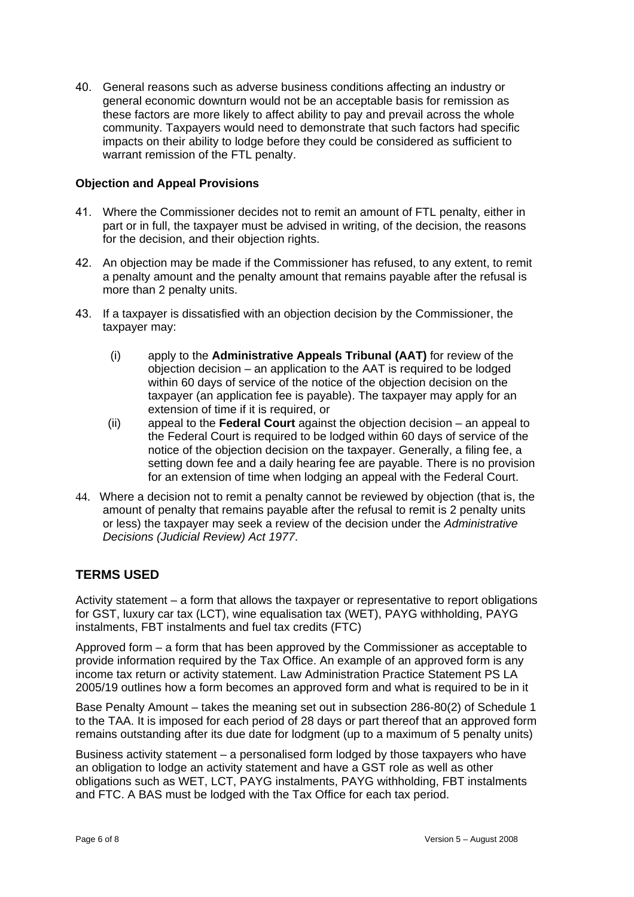40. General reasons such as adverse business conditions affecting an industry or general economic downturn would not be an acceptable basis for remission as these factors are more likely to affect ability to pay and prevail across the whole community. Taxpayers would need to demonstrate that such factors had specific impacts on their ability to lodge before they could be considered as sufficient to warrant remission of the FTL penalty.

## **Objection and Appeal Provisions**

- 41. Where the Commissioner decides not to remit an amount of FTL penalty, either in part or in full, the taxpayer must be advised in writing, of the decision, the reasons for the decision, and their objection rights.
- 42. An objection may be made if the Commissioner has refused, to any extent, to remit a penalty amount and the penalty amount that remains payable after the refusal is more than 2 penalty units.
- 43. If a taxpayer is dissatisfied with an objection decision by the Commissioner, the taxpayer may:
	- (i) apply to the **Administrative Appeals Tribunal (AAT)** for review of the objection decision – an application to the AAT is required to be lodged within 60 days of service of the notice of the objection decision on the taxpayer (an application fee is payable). The taxpayer may apply for an extension of time if it is required, or
	- (ii) appeal to the **Federal Court** against the objection decision an appeal to the Federal Court is required to be lodged within 60 days of service of the notice of the objection decision on the taxpayer. Generally, a filing fee, a setting down fee and a daily hearing fee are payable. There is no provision for an extension of time when lodging an appeal with the Federal Court.
- 44. Where a decision not to remit a penalty cannot be reviewed by objection (that is, the amount of penalty that remains payable after the refusal to remit is 2 penalty units or less) the taxpayer may seek a review of the decision under the *Administrative Decisions (Judicial Review) Act 1977*.

# **TERMS USED**

Activity statement – a form that allows the taxpayer or representative to report obligations for GST, luxury car tax (LCT), wine equalisation tax (WET), PAYG withholding, PAYG instalments, FBT instalments and fuel tax credits (FTC)

Approved form – a form that has been approved by the Commissioner as acceptable to provide information required by the Tax Office. An example of an approved form is any income tax return or activity statement. Law Administration Practice Statement PS LA 2005/19 outlines how a form becomes an approved form and what is required to be in it

Base Penalty Amount – takes the meaning set out in subsection 286-80(2) of Schedule 1 to the TAA. It is imposed for each period of 28 days or part thereof that an approved form remains outstanding after its due date for lodgment (up to a maximum of 5 penalty units)

Business activity statement – a personalised form lodged by those taxpayers who have an obligation to lodge an activity statement and have a GST role as well as other obligations such as WET, LCT, PAYG instalments, PAYG withholding, FBT instalments and FTC. A BAS must be lodged with the Tax Office for each tax period.